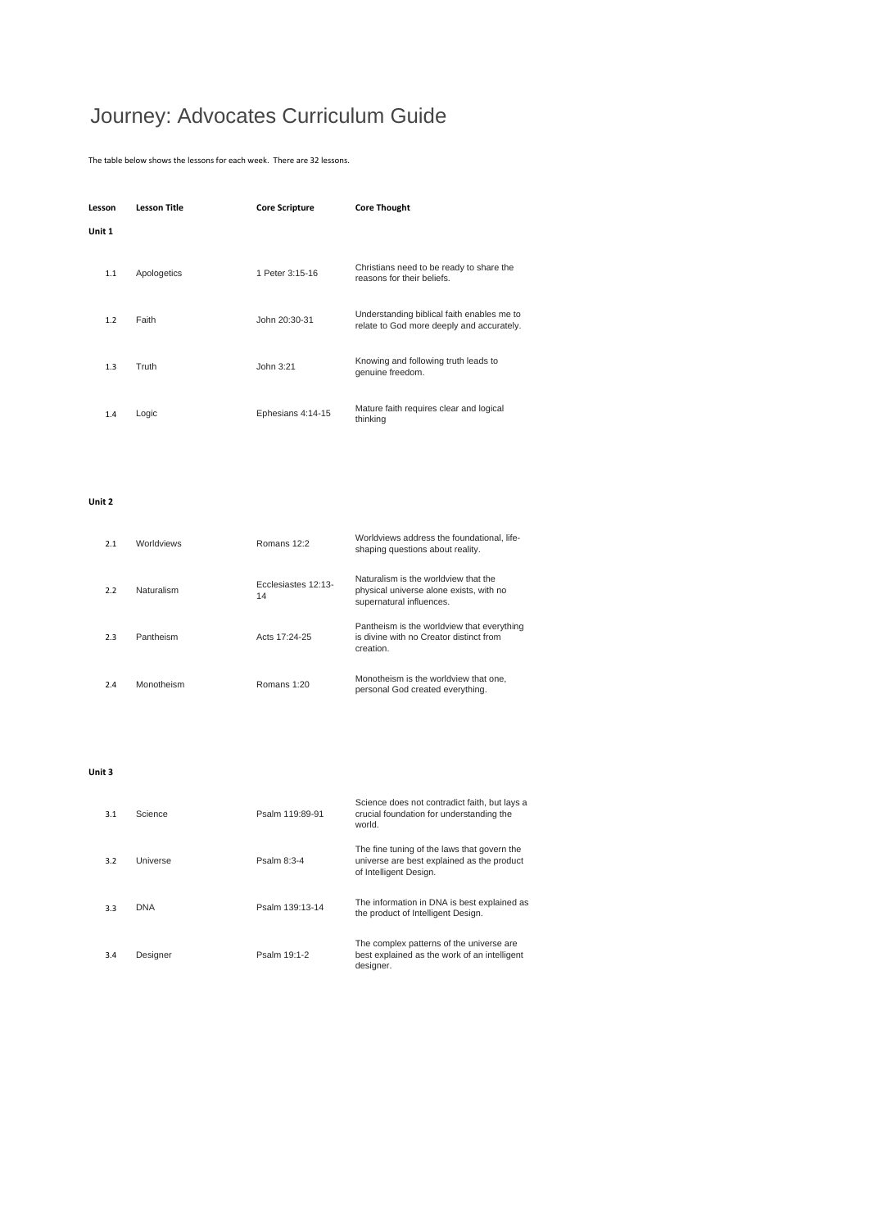## Journey: Advocates Curriculum Guide

The table below shows the lessons for each week. There are 32 lessons.

| Lesson | <b>Lesson Title</b> | <b>Core Scripture</b> | <b>Core Thought</b>                                                                     |
|--------|---------------------|-----------------------|-----------------------------------------------------------------------------------------|
| Unit 1 |                     |                       |                                                                                         |
| 1.1    | Apologetics         | 1 Peter 3:15-16       | Christians need to be ready to share the<br>reasons for their beliefs.                  |
| 1.2    | Faith               | John 20:30-31         | Understanding biblical faith enables me to<br>relate to God more deeply and accurately. |
| 1.3    | Truth               | John 3:21             | Knowing and following truth leads to<br>genuine freedom.                                |
| 1.4    | Logic               | Ephesians 4:14-15     | Mature faith requires clear and logical<br>thinking                                     |

**Unit 2**

| 2.1 | <b>Worldviews</b> | Romans $12.2$             | Worldviews address the foundational. life-<br>shaping questions about reality.                              |
|-----|-------------------|---------------------------|-------------------------------------------------------------------------------------------------------------|
| 2.2 | Naturalism        | Ecclesiastes 12:13-<br>14 | Naturalism is the worldview that the<br>physical universe alone exists, with no<br>supernatural influences. |
| 2.3 | Pantheism         | Acts 17:24-25             | Pantheism is the worldview that everything<br>is divine with no Creator distinct from<br>creation.          |
| 2.4 | Monotheism        | Romans 1:20               | Monotheism is the worldview that one.<br>personal God created everything.                                   |

**Unit 3**

| 3.1 | Science    | Psalm 119:89-91 | Science does not contradict faith, but lays a<br>crucial foundation for understanding the<br>world.                 |
|-----|------------|-----------------|---------------------------------------------------------------------------------------------------------------------|
| 3.2 | Universe   | Psalm 8:3-4     | The fine tuning of the laws that govern the<br>universe are best explained as the product<br>of Intelligent Design. |
| 3.3 | <b>DNA</b> | Psalm 139:13-14 | The information in DNA is best explained as<br>the product of Intelligent Design.                                   |
| 3.4 | Designer   | Psalm 19:1-2    | The complex patterns of the universe are<br>best explained as the work of an intelligent<br>designer.               |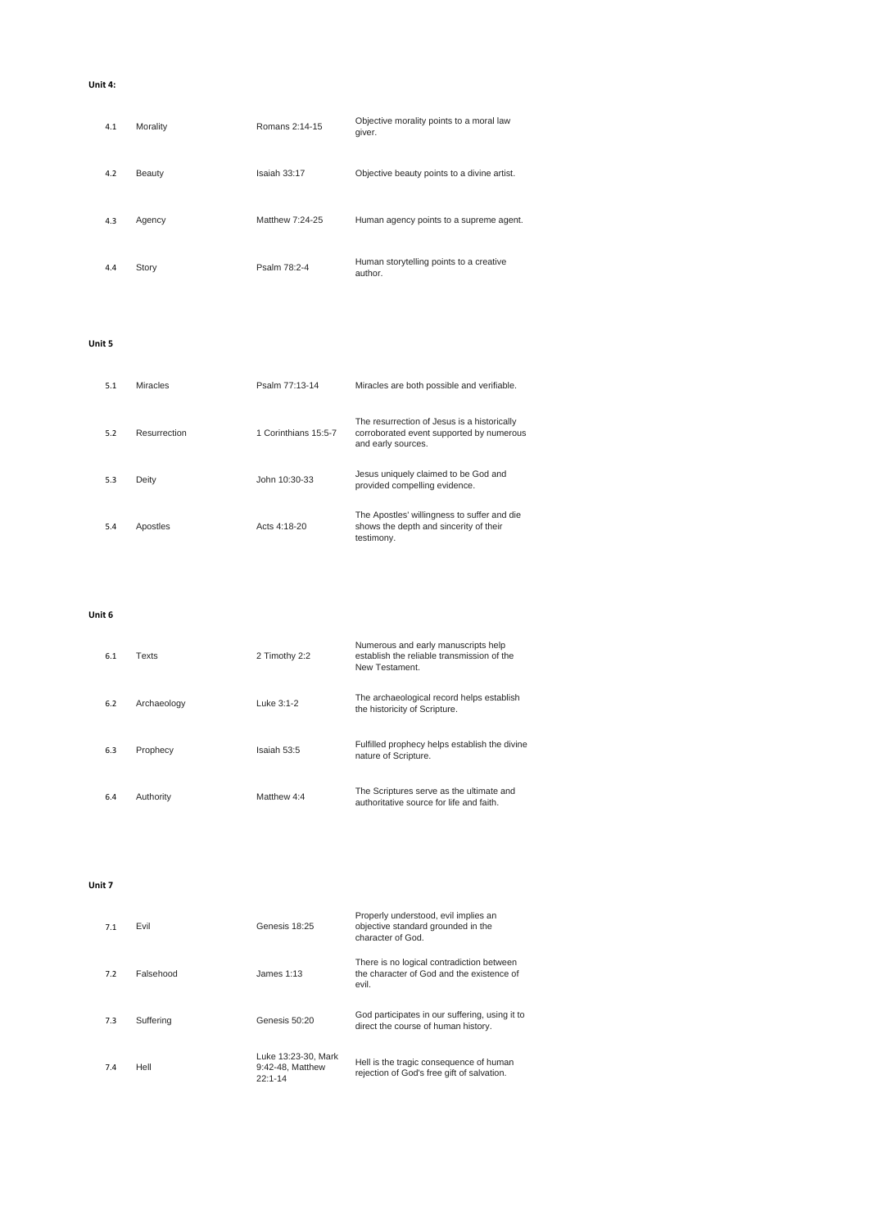**Unit 4:**

| 4.1 | Morality | Romans 2:14-15  | Objective morality points to a moral law<br>giver. |
|-----|----------|-----------------|----------------------------------------------------|
| 4.2 | Beauty   | Isaiah 33:17    | Objective beauty points to a divine artist.        |
| 4.3 | Agency   | Matthew 7:24-25 | Human agency points to a supreme agent.            |
| 4.4 | Story    | Psalm 78:2-4    | Human storytelling points to a creative<br>author. |

**Unit 5**

| 5.1 | <b>Miracles</b> | Psalm 77:13-14       | Miracles are both possible and verifiable.                                                                    |
|-----|-----------------|----------------------|---------------------------------------------------------------------------------------------------------------|
| 5.2 | Resurrection    | 1 Corinthians 15:5-7 | The resurrection of Jesus is a historically<br>corroborated event supported by numerous<br>and early sources. |
| 5.3 | Deity           | John 10:30-33        | Jesus uniquely claimed to be God and<br>provided compelling evidence.                                         |
| 5.4 | Apostles        | Acts 4:18-20         | The Apostles' willingness to suffer and die<br>shows the depth and sincerity of their<br>testimony.           |

**Unit 6**

| 6.1 | Texts       | 2 Timothy 2:2 | Numerous and early manuscripts help<br>establish the reliable transmission of the<br>New Testament. |
|-----|-------------|---------------|-----------------------------------------------------------------------------------------------------|
| 6.2 | Archaeology | Luke 3:1-2    | The archaeological record helps establish<br>the historicity of Scripture.                          |
| 6.3 | Prophecy    | Isaiah 53:5   | Fulfilled prophecy helps establish the divine<br>nature of Scripture.                               |
| 6.4 | Authority   | Matthew 4:4   | The Scriptures serve as the ultimate and<br>authoritative source for life and faith.                |

**Unit 7**

| 7.1 | Evil      | Genesis 18:25                                          | Properly understood, evil implies an<br>objective standard grounded in the<br>character of God. |
|-----|-----------|--------------------------------------------------------|-------------------------------------------------------------------------------------------------|
| 7.2 | Falsehood | James $1:13$                                           | There is no logical contradiction between<br>the character of God and the existence of<br>evil. |
| 7.3 | Suffering | Genesis 50:20                                          | God participates in our suffering, using it to<br>direct the course of human history.           |
| 7.4 | Hell      | Luke 13:23-30, Mark<br>9:42-48. Matthew<br>$22:1 - 14$ | Hell is the tragic consequence of human<br>rejection of God's free gift of salvation.           |